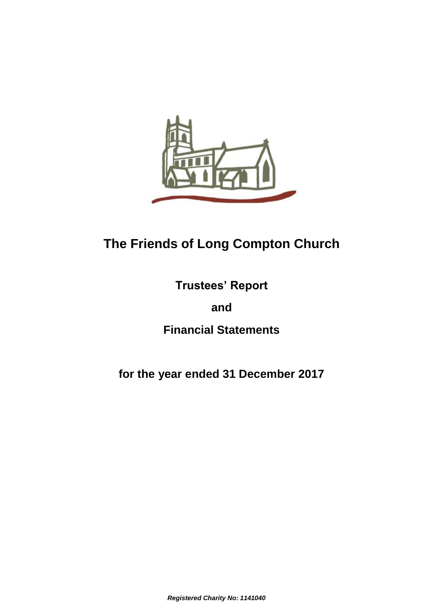

# **The Friends of Long Compton Church**

**Trustees' Report** 

**and** 

**Financial Statements**

**for the year ended 31 December 2017**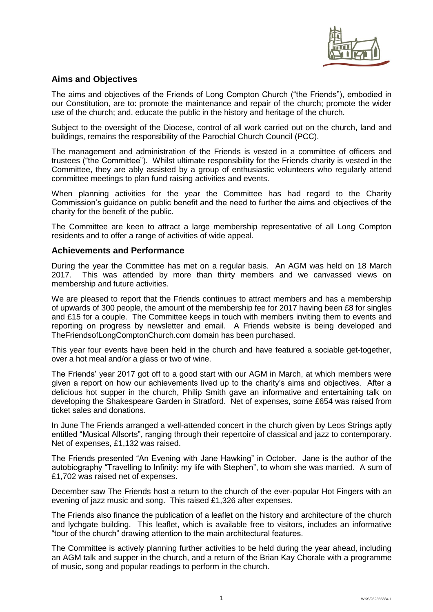

# **Aims and Objectives**

The aims and objectives of the Friends of Long Compton Church ("the Friends"), embodied in our Constitution, are to: promote the maintenance and repair of the church; promote the wider use of the church; and, educate the public in the history and heritage of the church.

Subject to the oversight of the Diocese, control of all work carried out on the church, land and buildings, remains the responsibility of the Parochial Church Council (PCC).

The management and administration of the Friends is vested in a committee of officers and trustees ("the Committee"). Whilst ultimate responsibility for the Friends charity is vested in the Committee, they are ably assisted by a group of enthusiastic volunteers who regularly attend committee meetings to plan fund raising activities and events.

When planning activities for the year the Committee has had regard to the Charity Commission's guidance on public benefit and the need to further the aims and objectives of the charity for the benefit of the public.

The Committee are keen to attract a large membership representative of all Long Compton residents and to offer a range of activities of wide appeal.

#### **Achievements and Performance**

During the year the Committee has met on a regular basis. An AGM was held on 18 March<br>2017. This was attended by more than thirty members and we canvassed views on This was attended by more than thirty members and we canvassed views on membership and future activities.

We are pleased to report that the Friends continues to attract members and has a membership of upwards of 300 people, the amount of the membership fee for 2017 having been £8 for singles and £15 for a couple. The Committee keeps in touch with members inviting them to events and reporting on progress by newsletter and email. A Friends website is being developed and TheFriendsofLongComptonChurch.com domain has been purchased.

This year four events have been held in the church and have featured a sociable get-together, over a hot meal and/or a glass or two of wine.

The Friends' year 2017 got off to a good start with our AGM in March, at which members were given a report on how our achievements lived up to the charity's aims and objectives. After a delicious hot supper in the church, Philip Smith gave an informative and entertaining talk on developing the Shakespeare Garden in Stratford. Net of expenses, some £654 was raised from ticket sales and donations.

In June The Friends arranged a well-attended concert in the church given by Leos Strings aptly entitled "Musical Allsorts", ranging through their repertoire of classical and jazz to contemporary. Net of expenses, £1,132 was raised.

The Friends presented "An Evening with Jane Hawking" in October. Jane is the author of the autobiography "Travelling to Infinity: my life with Stephen", to whom she was married. A sum of £1,702 was raised net of expenses.

December saw The Friends host a return to the church of the ever-popular Hot Fingers with an evening of jazz music and song. This raised £1,326 after expenses.

The Friends also finance the publication of a leaflet on the history and architecture of the church and lychgate building. This leaflet, which is available free to visitors, includes an informative "tour of the church" drawing attention to the main architectural features.

The Committee is actively planning further activities to be held during the year ahead, including an AGM talk and supper in the church, and a return of the Brian Kay Chorale with a programme of music, song and popular readings to perform in the church.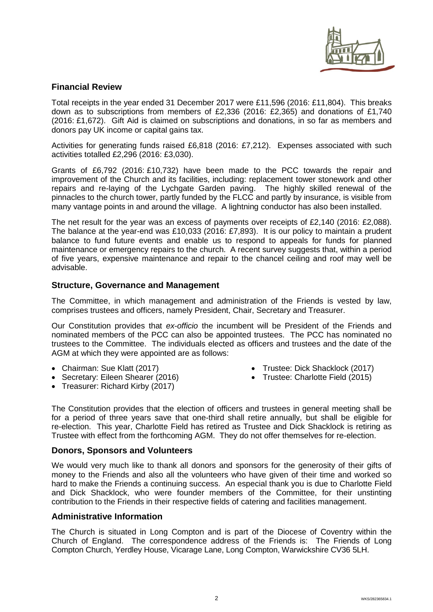

### **Financial Review**

Total receipts in the year ended 31 December 2017 were £11,596 (2016: £11,804). This breaks down as to subscriptions from members of £2,336 (2016: £2,365) and donations of £1,740 (2016: £1,672). Gift Aid is claimed on subscriptions and donations, in so far as members and donors pay UK income or capital gains tax.

Activities for generating funds raised £6,818 (2016: £7,212). Expenses associated with such activities totalled £2,296 (2016: £3,030).

Grants of £6,792 (2016: £10,732) have been made to the PCC towards the repair and improvement of the Church and its facilities, including: replacement tower stonework and other repairs and re-laying of the Lychgate Garden paving. The highly skilled renewal of the pinnacles to the church tower, partly funded by the FLCC and partly by insurance, is visible from many vantage points in and around the village. A lightning conductor has also been installed.

The net result for the year was an excess of payments over receipts of £2,140 (2016: £2,088). The balance at the year-end was £10,033 (2016: £7,893). It is our policy to maintain a prudent balance to fund future events and enable us to respond to appeals for funds for planned maintenance or emergency repairs to the church. A recent survey suggests that, within a period of five years, expensive maintenance and repair to the chancel ceiling and roof may well be advisable.

#### **Structure, Governance and Management**

The Committee, in which management and administration of the Friends is vested by law, comprises trustees and officers, namely President, Chair, Secretary and Treasurer.

Our Constitution provides that *ex-officio* the incumbent will be President of the Friends and nominated members of the PCC can also be appointed trustees. The PCC has nominated no trustees to the Committee. The individuals elected as officers and trustees and the date of the AGM at which they were appointed are as follows:

- Chairman: Sue Klatt (2017)
- Secretary: Eileen Shearer (2016)
- Treasurer: Richard Kirby (2017)
- Trustee: Dick Shacklock (2017)
- Trustee: Charlotte Field (2015)

The Constitution provides that the election of officers and trustees in general meeting shall be for a period of three years save that one-third shall retire annually, but shall be eligible for re-election. This year, Charlotte Field has retired as Trustee and Dick Shacklock is retiring as Trustee with effect from the forthcoming AGM. They do not offer themselves for re-election.

#### **Donors, Sponsors and Volunteers**

We would very much like to thank all donors and sponsors for the generosity of their gifts of money to the Friends and also all the volunteers who have given of their time and worked so hard to make the Friends a continuing success. An especial thank you is due to Charlotte Field and Dick Shacklock, who were founder members of the Committee, for their unstinting contribution to the Friends in their respective fields of catering and facilities management.

#### **Administrative Information**

The Church is situated in Long Compton and is part of the Diocese of Coventry within the Church of England. The correspondence address of the Friends is: The Friends of Long Compton Church, Yerdley House, Vicarage Lane, Long Compton, Warwickshire CV36 5LH.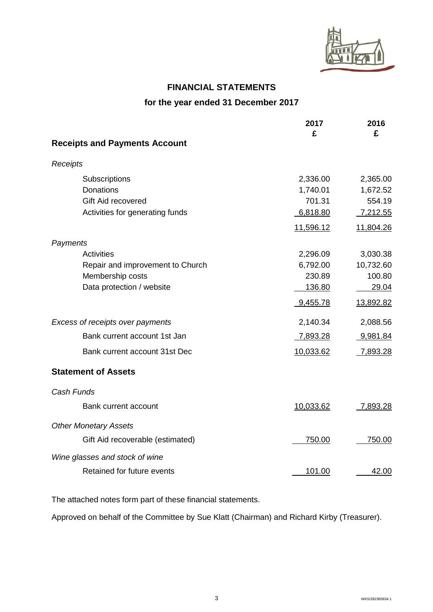

# **FINANCIAL STATEMENTS**

# **for the year ended 31 December 2017**

|                                      | 2017<br>£ | 2016<br>£       |
|--------------------------------------|-----------|-----------------|
| <b>Receipts and Payments Account</b> |           |                 |
| Receipts                             |           |                 |
| Subscriptions                        | 2,336.00  | 2,365.00        |
| <b>Donations</b>                     | 1,740.01  | 1,672.52        |
| Gift Aid recovered                   | 701.31    | 554.19          |
| Activities for generating funds      | 6,818.80  | 7,212.55        |
|                                      | 11,596.12 | 11,804.26       |
| Payments                             |           |                 |
| Activities                           | 2,296.09  | 3,030.38        |
| Repair and improvement to Church     | 6,792.00  | 10,732.60       |
| Membership costs                     | 230.89    | 100.80          |
| Data protection / website            | 136.80    | 29.04           |
|                                      | 9,455.78  | 13,892.82       |
| Excess of receipts over payments     | 2,140.34  | 2,088.56        |
| Bank current account 1st Jan         | 7,893.28  | 9,981.84        |
| Bank current account 31st Dec        | 10,033.62 | <u>7,893.28</u> |
| <b>Statement of Assets</b>           |           |                 |
| Cash Funds                           |           |                 |
| Bank current account                 | 10,033.62 | 7,893.28        |
| <b>Other Monetary Assets</b>         |           |                 |
| Gift Aid recoverable (estimated)     | 750.00    | 750.00          |
| Wine glasses and stock of wine       |           |                 |
| Retained for future events           | 101.00    | 42.00           |

The attached notes form part of these financial statements.

Approved on behalf of the Committee by Sue Klatt (Chairman) and Richard Kirby (Treasurer).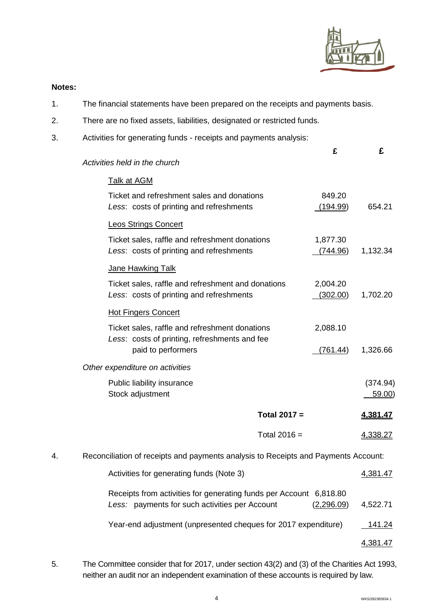

# **Notes:**

- 1. The financial statements have been prepared on the receipts and payments basis.
- 2. There are no fixed assets, liabilities, designated or restricted funds.
- 3. Activities for generating funds receipts and payments analysis:

|    |                                                                                                                      | £                    | £                        |  |
|----|----------------------------------------------------------------------------------------------------------------------|----------------------|--------------------------|--|
|    | Activities held in the church                                                                                        |                      |                          |  |
|    | <b>Talk at AGM</b>                                                                                                   |                      |                          |  |
|    | Ticket and refreshment sales and donations<br>Less: costs of printing and refreshments                               | 849.20<br>(194.99)   | 654.21                   |  |
|    | <b>Leos Strings Concert</b>                                                                                          |                      |                          |  |
|    | Ticket sales, raffle and refreshment donations<br>Less: costs of printing and refreshments                           | 1,877.30<br>(744.96) | 1,132.34                 |  |
|    | Jane Hawking Talk                                                                                                    |                      |                          |  |
|    | Ticket sales, raffle and refreshment and donations<br>Less: costs of printing and refreshments                       | 2,004.20<br>(302.00) | 1,702.20                 |  |
|    | <b>Hot Fingers Concert</b>                                                                                           |                      |                          |  |
|    | Ticket sales, raffle and refreshment donations<br>Less: costs of printing, refreshments and fee                      | 2,088.10             |                          |  |
|    | paid to performers                                                                                                   | (761.44)             | 1,326.66                 |  |
|    | Other expenditure on activities                                                                                      |                      |                          |  |
|    | Public liability insurance<br>Stock adjustment                                                                       |                      | (374.94)<br><u>59.00</u> |  |
|    | Total $2017 =$                                                                                                       |                      | 4,381.47                 |  |
|    | Total $2016 =$                                                                                                       |                      | 4,338.27                 |  |
| 4. | Reconciliation of receipts and payments analysis to Receipts and Payments Account:                                   |                      |                          |  |
|    | Activities for generating funds (Note 3)                                                                             |                      | 4,381.47                 |  |
|    | Receipts from activities for generating funds per Account 6,818.80<br>Less: payments for such activities per Account | (2,296.09)           | 4,522.71                 |  |
|    | Year-end adjustment (unpresented cheques for 2017 expenditure)                                                       |                      | <u>141.24</u>            |  |
|    |                                                                                                                      |                      |                          |  |

4,381.47

5. The Committee consider that for 2017, under section 43(2) and (3) of the Charities Act 1993, neither an audit nor an independent examination of these accounts is required by law.